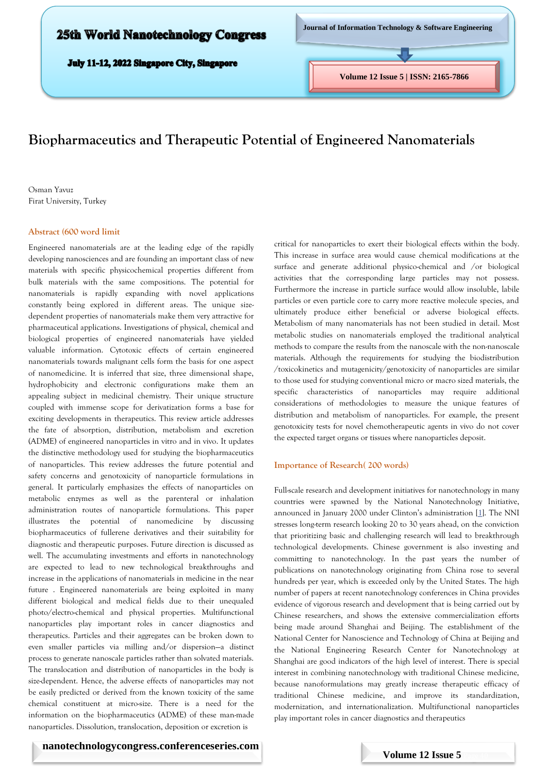

# **Biopharmaceutics and Therapeutic Potential of Engineered Nanomaterials**

Osman Yavuz Firat University, Turkey

#### **Abstract (600 word limit**

Engineered nanomaterials are at the leading edge of the rapidly developing nanosciences and are founding an important class of new materials with specific physicochemical properties different from bulk materials with the same compositions. The potential for nanomaterials is rapidly expanding with novel applications constantly being explored in different areas. The unique sizedependent properties of nanomaterials make them very attractive for pharmaceutical applications. Investigations of physical, chemical and biological properties of engineered nanomaterials have yielded valuable information. Cytotoxic effects of certain engineered nanomaterials towards malignant cells form the basis for one aspect of nanomedicine. It is inferred that size, three dimensional shape, hydrophobicity and electronic configurations make them an appealing subject in medicinal chemistry. Their unique structure coupled with immense scope for derivatization forms a base for exciting developments in therapeutics. This review article addresses the fate of absorption, distribution, metabolism and excretion (ADME) of engineered nanoparticles in vitro and in vivo. It updates the distinctive methodology used for studying the biopharmaceutics of nanoparticles. This review addresses the future potential and safety concerns and genotoxicity of nanoparticle formulations in general. It particularly emphasizes the effects of nanoparticles on metabolic enzymes as well as the parenteral or inhalation administration routes of nanoparticle formulations. This paper illustrates the potential of nanomedicine by discussing biopharmaceutics of fullerene derivatives and their suitability for diagnostic and therapeutic purposes. Future direction is discussed as well. The accumulating investments and efforts in nanotechnology are expected to lead to new technological breakthroughs and increase in the applications of nanomaterials in medicine in the near future . Engineered nanomaterials are being exploited in many different biological and medical fields due to their unequaled photo/electro-chemical and physical properties. Multifunctional nanoparticles play important roles in cancer diagnostics and therapeutics. Particles and their aggregates can be broken down to even smaller particles via milling and/or dispersion—a distinct process to generate nanoscale particles rather than solvated materials. The translocation and distribution of nanoparticles in the body is size-dependent. Hence, the adverse effects of nanoparticles may not be easily predicted or derived from the known toxicity of the same chemical constituent at micro-size. There is a need for the information on the biopharmaceutics (ADME) of these man-made nanoparticles. Dissolution, translocation, deposition or excretion is

critical for nanoparticles to exert their biological effects within the body. This increase in surface area would cause chemical modifications at the surface and generate additional physico-chemical and /or biological activities that the corresponding large particles may not possess. Furthermore the increase in particle surface would allow insoluble, labile particles or even particle core to carry more reactive molecule species, and ultimately produce either beneficial or adverse biological effects. Metabolism of many nanomaterials has not been studied in detail. Most metabolic studies on nanomaterials employed the traditional analytical methods to compare the results from the nanoscale with the non-nanoscale materials. Although the requirements for studying the biodistribution /toxicokinetics and mutagenicity/genotoxicity of nanoparticles are similar to those used for studying conventional micro or macro sized materials, the specific characteristics of nanoparticles may require additional considerations of methodologies to measure the unique features of distribution and metabolism of nanoparticles. For example, the present genotoxicity tests for novel chemotherapeutic agents in vivo do not cover the expected target organs or tissues where nanoparticles deposit.

## **Importance of Research( 200 words)**

Full-scale research and development initiatives for nanotechnology in many countries were spawned by the National Nanotechnology Initiative, announced in January 2000 under Clinton's administration [[1\]](https://www.ncbi.nlm.nih.gov/pmc/articles/PMC2715162/#R1). The NNI stresses long-term research looking 20 to 30 years ahead, on the conviction that prioritizing basic and challenging research will lead to breakthrough technological developments. Chinese government is also investing and committing to nanotechnology. In the past years the number of publications on nanotechnology originating from China rose to several hundreds per year, which is exceeded only by the United States. The high number of papers at recent nanotechnology conferences in China provides evidence of vigorous research and development that is being carried out by Chinese researchers, and shows the extensive commercialization efforts being made around Shanghai and Beijing. The establishment of the National Center for Nanoscience and Technology of China at Beijing and the National Engineering Research Center for Nanotechnology at Shanghai are good indicators of the high level of interest. There is special interest in combining nanotechnology with traditional Chinese medicine, because nanoformulations may greatly increase therapeutic efficacy of traditional Chinese medicine, and improve its standardization, modernization, and internationalization. Multifunctional nanoparticles play important roles in cancer diagnostics and therapeutics

# **nanotechnologycongress.conferenceseries.com**